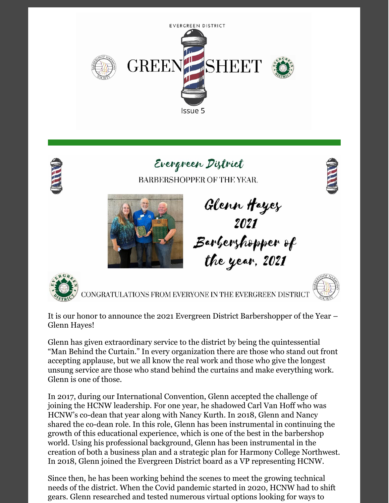



# Evergreen District

BARBERSHOPPER OF THE YEAR.





Glenn Hayez<br>2021<br>Barlerzhopper of the year, 2021



CONGRATULATIONS FROM EVERYONE IN THE EVERGREEN DISTRIC



Glenn has given extraordinary service to the district by being the quintessential "Man Behind the Curtain." In every organization there are those who stand out front accepting applause, but we all know the real work and those who give the longest unsung service are those who stand behind the curtains and make everything work. Glenn is one of those.

In 2017, during our International Convention, Glenn accepted the challenge of joining the HCNW leadership. For one year, he shadowed Carl Van Hoff who was HCNW's co-dean that year along with Nancy Kurth. In 2018, Glenn and Nancy shared the co-dean role. In this role, Glenn has been instrumental in continuing the growth of this educational experience, which is one of the best in the barbershop world. Using his professional background, Glenn has been instrumental in the creation of both a business plan and a strategic plan for Harmony College Northwest. In 2018, Glenn joined the Evergreen District board as a VP representing HCNW.

Since then, he has been working behind the scenes to meet the growing technical needs of the district. When the Covid pandemic started in 2020, HCNW had to shift gears. Glenn researched and tested numerous virtual options looking for ways to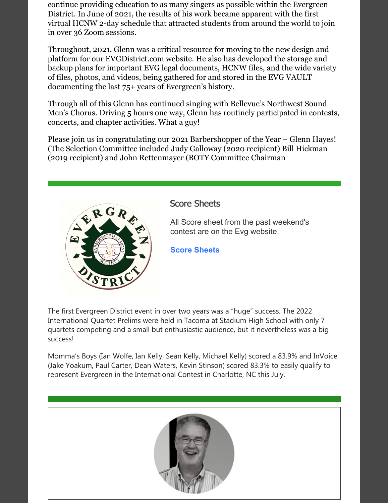continue providing education to as many singers as possible within the Evergreen District. In June of 2021, the results of his work became apparent with the first virtual HCNW 2-day schedule that attracted students from around the world to join in over 36 Zoom sessions.

Throughout, 2021, Glenn was a critical resource for moving to the new design and platform for our EVGDistrict.com website. He also has developed the storage and backup plans for important EVG legal documents, HCNW files, and the wide variety of files, photos, and videos, being gathered for and stored in the EVG VAULT documenting the last 75+ years of Evergreen's history.

Through all of this Glenn has continued singing with Bellevue's Northwest Sound Men's Chorus. Driving 5 hours one way, Glenn has routinely participated in contests, concerts, and chapter activities. What a guy!

Please join us in congratulating our 2021 Barbershopper of the Year – Glenn Hayes! (The Selection Committee included Judy Galloway (2020 recipient) Bill Hickman (2019 recipient) and John Rettenmayer (BOTY Committee Chairman



#### Score Sheets

All Score sheet from the past weekend's contest are on the Evg website.

**Score [Sheets](https://evgdistrict.com/)**

The first Evergreen District event in over two years was a "huge" success. The 2022 International Quartet Prelims were held in Tacoma at Stadium High School with only 7 quartets competing and a small but enthusiastic audience, but it nevertheless was a big success!

Momma's Boys (Ian Wolfe, Ian Kelly, Sean Kelly, Michael Kelly) scored a 83.9% and InVoice (Jake Yoakum, Paul Carter, Dean Waters, Kevin Stinson) scored 83.3% to easily qualify to represent Evergreen in the International Contest in Charlotte, NC this July.

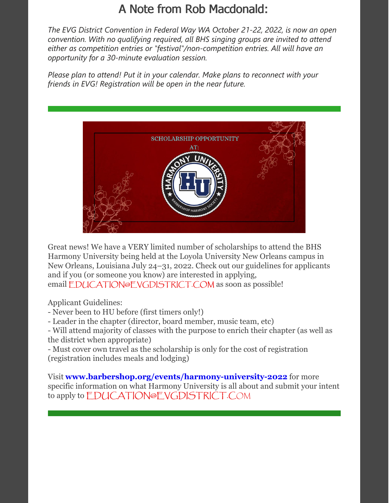## A Note from Rob Macdonald:

*The EVG District Convention in Federal Way WA October 21-22, 2022, is now an open convention. With no qualifying required, all BHS singing groups are invited to attend either as competition entries or "festival"/non-competition entries. All will have an opportunity for a 30-minute evaluation session.*

*Please plan to attend! Put it in your calendar. Make plans to reconnect with your friends in EVG! Registration will be open in the near future.*



Great news! We have a VERY limited number of scholarships to attend the BHS Harmony University being held at the Loyola University New Orleans campus in New Orleans, Louisiana July 24–31, 2022. Check out our guidelines for applicants and if you (or someone you know) are interested in applying, email [EDUCATION@EVGDISTRICT.COM](mailto:EDUCATION@EVGDISTRICT.COM) as soon as possible!

Applicant Guidelines:

- Never been to HU before (first timers only!)
- Leader in the chapter (director, board member, music team, etc)
- Will attend majority of classes with the purpose to enrich their chapter (as well as the district when appropriate)

- Must cover own travel as the scholarship is only for the cost of registration (registration includes meals and lodging)

Visit **[www.barbershop.org/events/harmony-university-2022](http://www.barbershop.org/events/harmony-university-2022)** for more specific information on what Harmony University is all about and submit your intent to apply to [EDUCATION@EVGDISTRICT.C](mailto:EDUCATION@EVGDISTRICT.COM)OM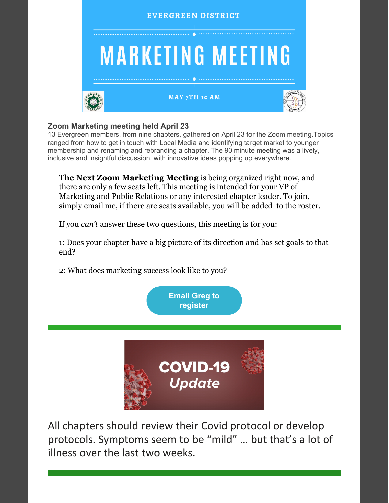

#### **Zoom Marketing meeting held April 23**

13 Evergreen members, from nine chapters, gathered on April 23 for the Zoom meeting.Topics ranged from how to get in touch with Local Media and identifying target market to younger membership and renaming and rebranding a chapter. The 90 minute meeting was a lively, inclusive and insightful discussion, with innovative ideas popping up everywhere.

**The Next Zoom Marketing Meeting** is being organized right now, and there are only a few seats left. This meeting is intended for your VP of Marketing and Public Relations or any interested chapter leader. To join, simply email me, if there are seats available, you will be added to the roster.

If you *can't* answer these two questions, this meeting is for you:

1: Does your chapter have a big picture of its direction and has set goals to that end?

2: What does marketing success look like to you?

**Email Greg to [register](mailto:thebarber_shop@msn.com)**



All chapters should review their Covid protocol or develop protocols. Symptoms seem to be "mild" … but that's a lot of illness over the last two weeks.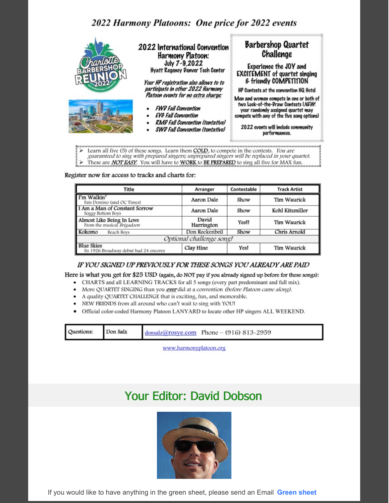### 2022 Harmony Platoons: One price for 2022 events



Learn all five (5) of these songs. Learn them COLD, to compete in the contests. You are guaranteed to sing with prepared singers; unprepared singers will be replaced in your quartet.  $\checkmark$ These are **NOT EASY**. You will have to **WORK** to BE PREPARED to sing all five for MAX fun.

Register now for access to tracks and charts for:

| Title                                                                 | Arranger            |                      | Contestable<br><b>Track Artist</b> |  |
|-----------------------------------------------------------------------|---------------------|----------------------|------------------------------------|--|
| I'm Walkin'<br>Fats Domino (and OC Times)                             | Aaron Dale          | Show                 | Tim Waurick                        |  |
| I Am a Man of Constant Sorrow<br>Soggy Bottom Boys                    | Aaron Dale          | Show                 | Kohl Kitzmiller                    |  |
| <b>Almost Like Being In Love</b><br>From the musical <i>Brigadoon</i> | David<br>Harrington | Tim Waurick<br>YesII |                                    |  |
| Kokomo<br>Beach Boys                                                  | Don Reckenbeil      | Show                 | Chris Arnold                       |  |
| Optional challenge song!                                              |                     |                      |                                    |  |
| <b>Blue Skies</b><br>Its 1926 Broadway debut had 24 encores           | Clay Hine           | Yes!                 | Tim Waurick                        |  |

#### IF YOU SIGNED UP PREVIOUSLY FOR THESE SONGS YOU ALREADY ARE PAID

Here is what you get for \$25 USD (again, do NOT pay if you already signed up before for these songs):

- CHARTS and all LEARNING TRACKS for all 5 songs (every part predominant and full mix).
- More QUARTET SINGING than you ever did at a convention (before Platoon came along).
- A quality QUARTET CHALLENGE that is exciting, fun, and memorable.
- NEW FRIENDS from all around who can't wait to sing with YOU!
- Official color-coded Harmony Platoon LANYARD to locate other HP singers ALL WEEKEND.

| Questions:<br>Don Salz |  | $d$ onsalz@rosye.com Phone - (916) 813-2959 |  |
|------------------------|--|---------------------------------------------|--|
|------------------------|--|---------------------------------------------|--|

www.harmonyplatoon.org

### **Your Editor: David Dobson**



If you would like to have anything in the green sheet, please send an Email Green sheet